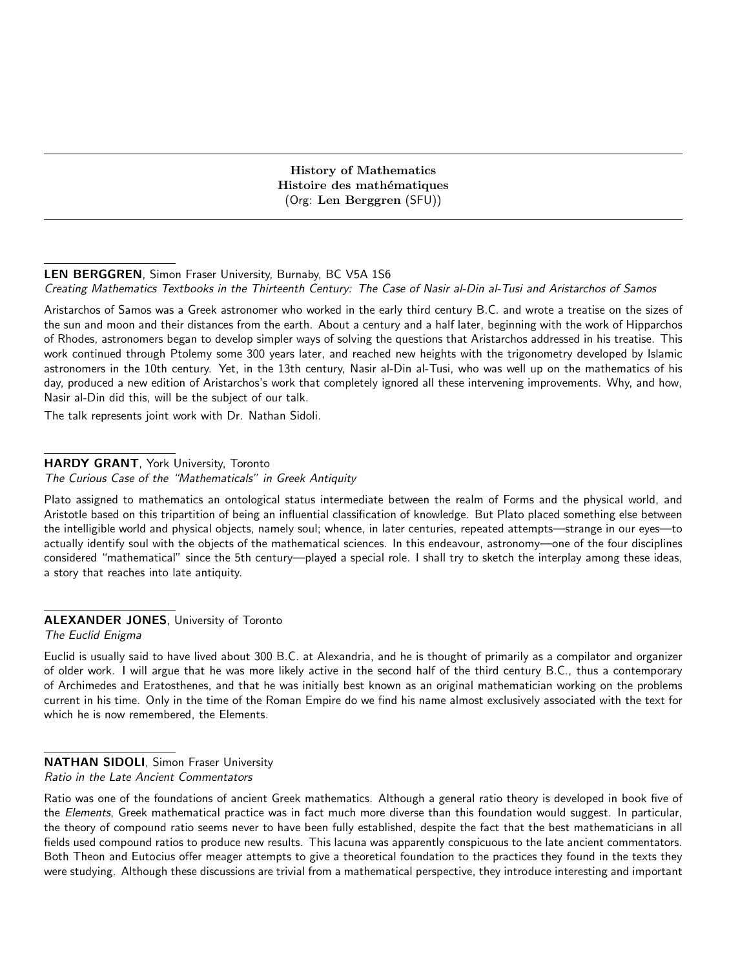History of Mathematics Histoire des mathématiques (Org: Len Berggren (SFU))

#### LEN BERGGREN, Simon Fraser University, Burnaby, BC V5A 1S6 Creating Mathematics Textbooks in the Thirteenth Century: The Case of Nasir al-Din al-Tusi and Aristarchos of Samos

Aristarchos of Samos was a Greek astronomer who worked in the early third century B.C. and wrote a treatise on the sizes of the sun and moon and their distances from the earth. About a century and a half later, beginning with the work of Hipparchos of Rhodes, astronomers began to develop simpler ways of solving the questions that Aristarchos addressed in his treatise. This work continued through Ptolemy some 300 years later, and reached new heights with the trigonometry developed by Islamic astronomers in the 10th century. Yet, in the 13th century, Nasir al-Din al-Tusi, who was well up on the mathematics of his day, produced a new edition of Aristarchos's work that completely ignored all these intervening improvements. Why, and how, Nasir al-Din did this, will be the subject of our talk.

The talk represents joint work with Dr. Nathan Sidoli.

## HARDY GRANT, York University, Toronto

The Curious Case of the "Mathematicals" in Greek Antiquity

Plato assigned to mathematics an ontological status intermediate between the realm of Forms and the physical world, and Aristotle based on this tripartition of being an influential classification of knowledge. But Plato placed something else between the intelligible world and physical objects, namely soul; whence, in later centuries, repeated attempts—strange in our eyes—to actually identify soul with the objects of the mathematical sciences. In this endeavour, astronomy—one of the four disciplines considered "mathematical" since the 5th century—played a special role. I shall try to sketch the interplay among these ideas, a story that reaches into late antiquity.

## **ALEXANDER JONES**, University of Toronto

The Euclid Enigma

Euclid is usually said to have lived about 300 B.C. at Alexandria, and he is thought of primarily as a compilator and organizer of older work. I will argue that he was more likely active in the second half of the third century B.C., thus a contemporary of Archimedes and Eratosthenes, and that he was initially best known as an original mathematician working on the problems current in his time. Only in the time of the Roman Empire do we find his name almost exclusively associated with the text for which he is now remembered, the Elements.

## NATHAN SIDOLI, Simon Fraser University

Ratio in the Late Ancient Commentators

Ratio was one of the foundations of ancient Greek mathematics. Although a general ratio theory is developed in book five of the Elements, Greek mathematical practice was in fact much more diverse than this foundation would suggest. In particular, the theory of compound ratio seems never to have been fully established, despite the fact that the best mathematicians in all fields used compound ratios to produce new results. This lacuna was apparently conspicuous to the late ancient commentators. Both Theon and Eutocius offer meager attempts to give a theoretical foundation to the practices they found in the texts they were studying. Although these discussions are trivial from a mathematical perspective, they introduce interesting and important